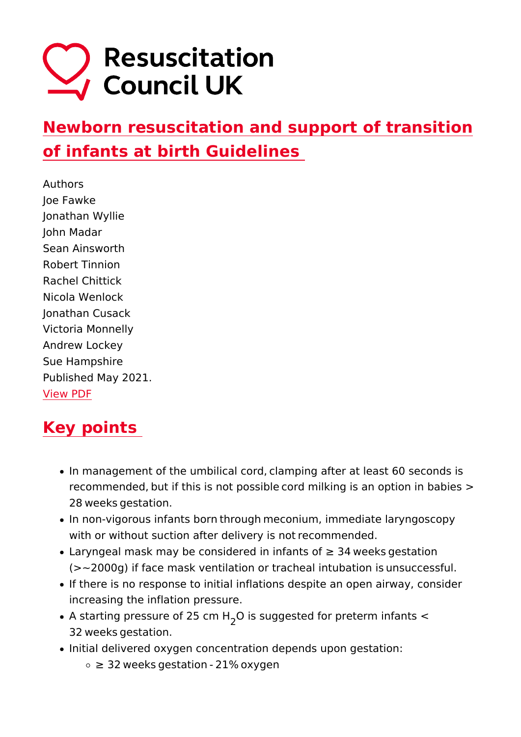# Newborn resuscitation and support of trans [of infants at birth Guid](https://www.resus.org.uk/library/2021-resuscitation-guidelines/newborn-resuscitation-and-support-transition-infants-birth)elines

Authors Joe Fawke Jonathan Wyllie John Madar Sean Ainsworth Robert Tinnion Rachel Chittick Nicola Wenlock Jonathan Cusack Victoria Monnelly Andrew Lockey Sue Hampshire Published May 2021. [View P](https://www.resus.org.uk/print/pdf/node/11335)DF

# Key points

- In management of the umbilical cord,/clamping after at least recommended,/but if this is not possible/cord milking is an o 28 /weeks /gestation.
- In non-vigorous infants born/through/meconium, immediate I with or without suction after delivery is not/recommended./
- Laryngeal mask may be considered in infants of "e 34/weeks/  $(-2000g)$  if face mask ventilation or tracheal intubation is/
- If there is no response to initial inflations despite an open increasing the inflation pressure.
- A starting pressure  $of_2\Omega$  5 scmsulgested for preterm infants  $\lt$ 32 /weeks /gestation. /
- $\bullet$  Initial delivered oxygen concentration depends upon gestati  $\circ$  "e 32/weeks/gestation/-/21%/oxygen/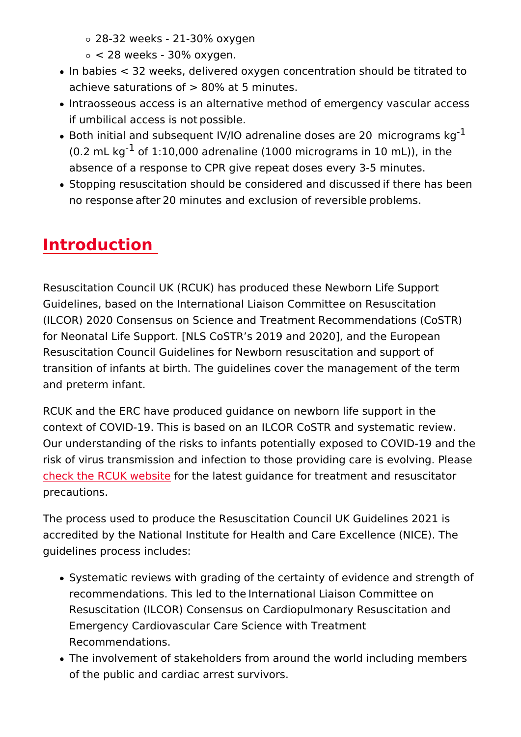28-32 weeks - 21-30% oxygen

 $\circ$  < 28 weeks - 30% oxygen./

- $\bullet$  In babies  $\lt$  32 weeks, delivered oxygen concentration should achieve saturations of > 80% at 5 minutes. /
- $\bullet$  Intraosseous access is an alternative method of emergency if umbilical access is not/possible.
- $\bullet$  Both initial and subsequent IV/IO adrenaline doses  $\mathrm{a}^1$ re 20 /m  $(0.2 \text{ mL}^2 \text{kg} \text{f} 1:10,000 \text{ adrenaline}$  (1000 micrograms in 10 mL) absence of a response to CPR give repeat doses every 3-5 m
- Stopping resuscitation should be considered and discussed/ no response/after/20 minutes and exclusion of reversible/pr

# Introduction

Resuscitation Council UK (RCUK) has produced these Newborn Guidelines, based on the International Liaison Committee on Re (ILCOR) 2020 Consensus on Science and Treatment Recommend for Neonatal Life Support. [NLS CoSTR s 2019 and 2020], and t Resuscitation Council Guidelines for Newborn resuscitation and transition of infants at birth. The quidelines cover the managem and preterm infant.//

RCUK and the ERC have produced guidance on newborn life sup context of COVID-19. This is based on an ILCOR CoSTR and systematic Our understanding of the risks to infants potentially exposed to risk of virus transmission and infection to those providing care [check the RCUK w](https://www.resus.org.uk/covid-19-resources)edersthee latest guidance for treatment and resurprecautions. / /

The process used to produce the Resuscitation Council UK Guid accredited by the National Institute for Health and Care Excelle guidelines process includes:

- Systematic reviews with grading of the certainty of evidence recommendations. This led to the/International Liaison Comm Resuscitation (ILCOR) Consensus on Cardiopulmonary Resus Emergency Cardiovascular Care Science with Treatment Recommendations. / /
- The involvement of stakeholders from around the world inclu of the public and cardiac arrest survivors.//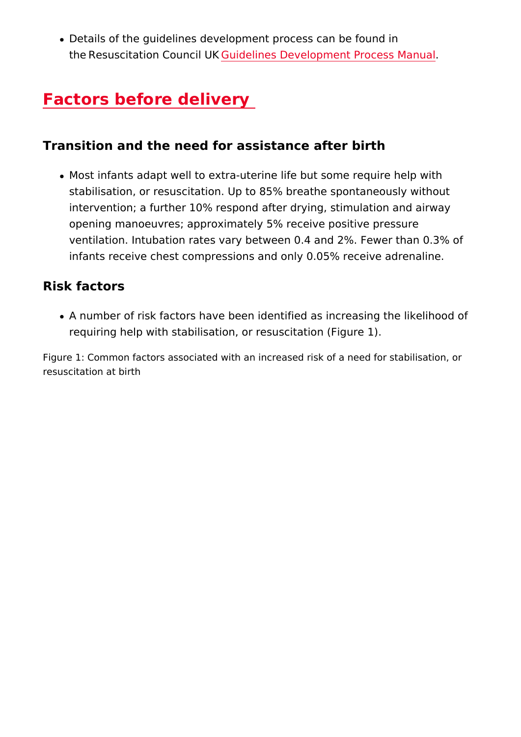. Details of the guidelines development process can be found the/Resuscitation  $Co@n\dot{\omega}$  blürkes Development Process Manua

# Factors before delivery

Transition and the need for assistance after birth

• Most infants adapt well to extra-uterine life but some requir stabilisation, or resuscitation. Up to 85% breathe spontaned intervention; a further 10% respond after drying, stimulation opening manoeuvres; approximately 5% receive positive prest ventilation. Intubation rates vary between 0.4 and 2%. Fewe infants receive chest compressions and only 0.05% receive

Risk factors

• A number of risk factors have been identified as increasing requiring help with stabilisation, or resuscitation (Figure 1).

Figure 1: Common factors associated with an increased risk of a need f resuscitation at birth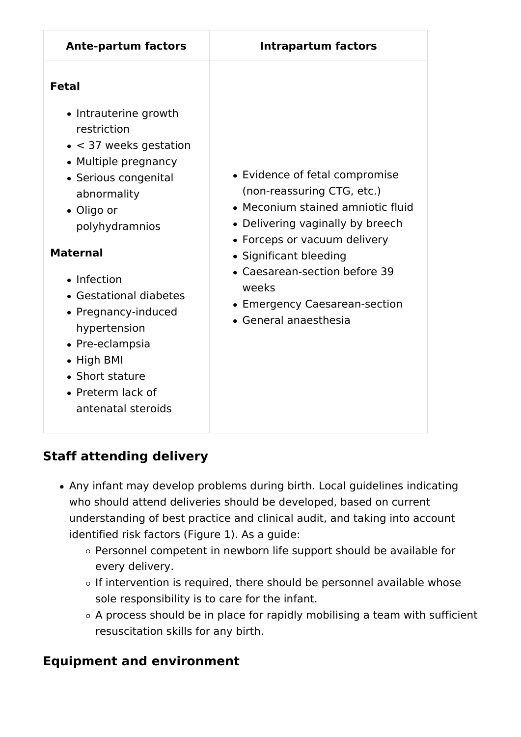| <b>Ante-partum factors</b>                                                                                                                                                                                                                                                                                                                                                              | <b>Intrapartum factors</b>                                                                                                                                                                                                                                                                          |
|-----------------------------------------------------------------------------------------------------------------------------------------------------------------------------------------------------------------------------------------------------------------------------------------------------------------------------------------------------------------------------------------|-----------------------------------------------------------------------------------------------------------------------------------------------------------------------------------------------------------------------------------------------------------------------------------------------------|
| <b>Fetal</b><br>• Intrauterine growth<br>restriction<br>$\bullet$ < 37 weeks gestation<br>• Multiple pregnancy<br>• Serious congenital<br>abnormality<br>• Oligo or<br>polyhydramnios<br><b>Maternal</b><br>• Infection<br>• Gestational diabetes<br>• Pregnancy-induced<br>hypertension<br>• Pre-eclampsia<br>• High BMI<br>• Short stature<br>• Preterm lack of<br>antenatal steroids | • Evidence of fetal compromise<br>(non-reassuring CTG, etc.)<br>• Meconium stained amniotic fluid<br>• Delivering vaginally by breech<br>• Forceps or vacuum delivery<br>• Significant bleeding<br>• Caesarean-section before 39<br>weeks<br>• Emergency Caesarean-section<br>• General anaesthesia |

# **Staff attending delivery**

- Any infant may develop problems during birth. Local guidelines indicating who should attend deliveries should be developed, based on current understanding of best practice and clinical audit, and taking into account identified risk factors (Figure 1). As a guide:
	- Personnel competent in newborn life support should be available for every delivery.
	- $\circ$  If intervention is required, there should be personnel available whose sole responsibility is to care for the infant.
	- $\circ$  A process should be in place for rapidly mobilising a team with sufficient resuscitation skills for any birth.

## **Equipment and environment**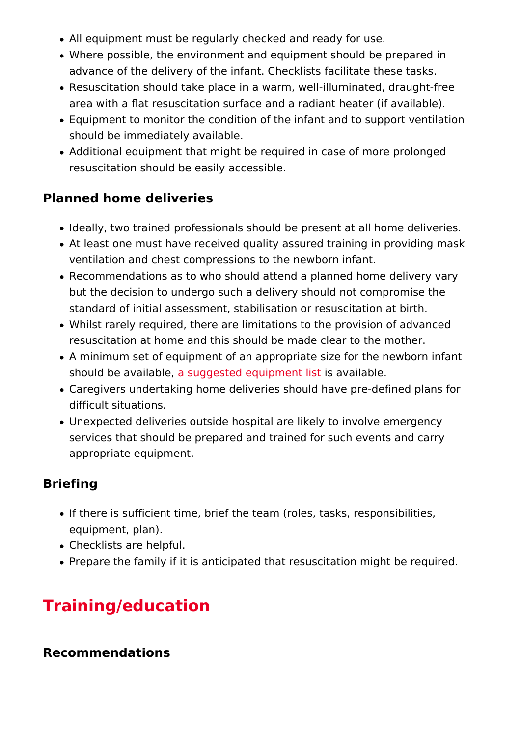- All equipment must be regularly checked and ready for use.
- . Where possible, the environment and equipment should be p advance of the delivery of the infant. Checklists facilitate t
- Resuscitation should take place in a warm, well-illuminated, area with a û at resuscitation surface and a radiant heater (i
- Equipment to monitor the condition of the infant and to supp should be immediately available.
- Additional equipment that might be required in case of more resuscitation should be easily accessible.

#### Planned home deliveries

- Ideally, two trained professionals should be present at all h
- At least one must have received quality assured training in ventilation and chest compressions to the newborn infant.
- Recommendations as to who should attend a planned home d but the decision to undergo such a delivery should not comp standard of initial assessment, stabilisation or resuscitation
- Whilst rarely required, there are limitations to the provision resuscitation at home and this should be made clear to the
- A minimum set of equipment of an appropriate size for the n should be avaibable, gested equipment a hiatlable.
- Caregivers undertaking home deliveries should have pre-def difficult situations.
- Unexpected deliveries outside hospital are likely to involve services that should be prepared and trained for such event appropriate equipment.

### Briefing

- If there is sufficient time, brief the team (roles, tasks, responsible) equipment, plan).
- Checklists are helpful.
- Prepare the family if it is anticipated that resuscitation mig

# Training/education

Recommendations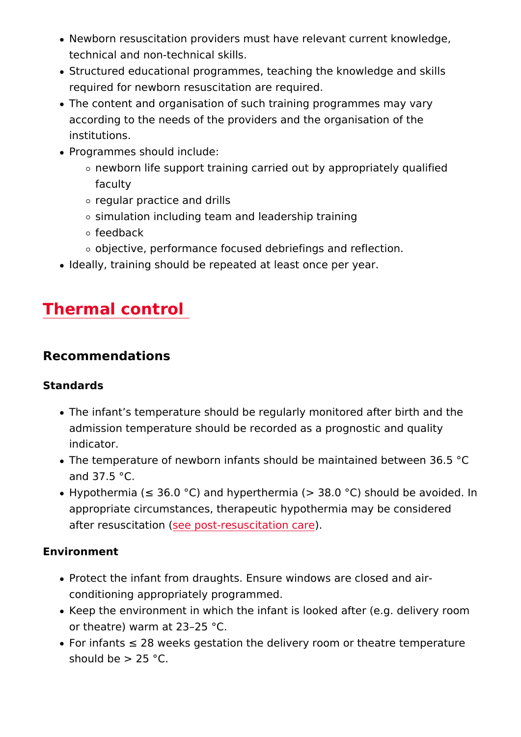- Newborn resuscitation providers must have relevant current technical and non-technical skills.
- Structured educational programmes, teaching the knowledge required for newborn resuscitation are required.
- The content and organisation of such training programmes m according to the needs of the providers and the organisation institutions.
- Programmes should include:
	- $\circ$  newborn life support training carried out by appropriatel faculty
	- o regular practice and drills
	- $\circ$  simulation including team and leadership training
	- $\circ$  feedback
	- $\circ$  objective, performance focused debriefings and reflectio
- . Ideally, training should be repeated at least once per year.

# Thermal control

Recommendations

Standards

- The infant s temperature should be regularly monitored afte admission temperature should be recorded as a prognostic a indicator.
- The temperature of newborn infants should be maintained be and 37.5 °C.
- Hypothermia ("d 36.0 °C) and hyperthermia (> 38.0 °C) shoul appropriate circumstances, therapeutic hypothermia may be after resuscitation post-resuscitation care

Environment

- Protect the infant from draughts. Ensure windows are closed conditioning appropriately programmed.
- Keep the environment in which the infant is looked after (e. or theatre) warm at 23 25 °C.
- For infants "d 28 weeks gestation the delivery room or theati should be  $> 25$  °C.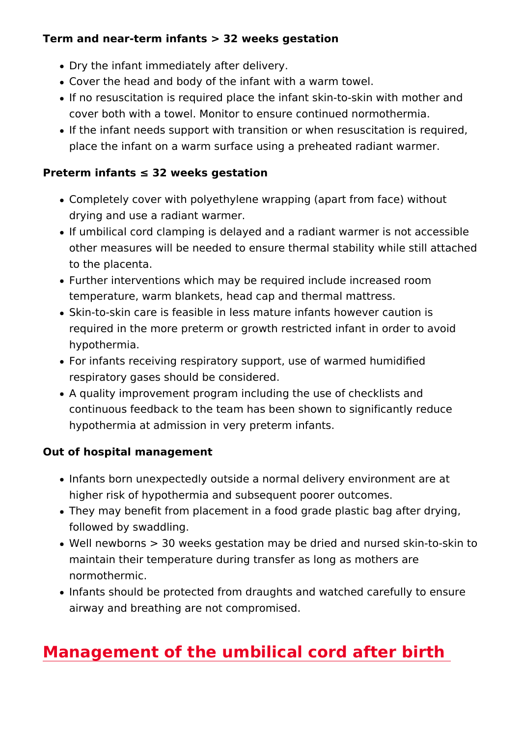Term and near-term infants > 32 weeks gestation

- Dry the infant immediately after delivery.
- Cover the head and body of the infant with a warm towel.
- If no resuscitation is required place the infant skin-to-skin cover both with a towel. Monitor to ensure continued normot
- If the infant needs support with transition or when resuscita place the infant on a warm surface using a preheated radian

Preterm infants "d 32 weeks gestation

- Completely cover with polyethylene wrapping (apart from fac drying and use a radiant warmer.
- If umbilical cord clamping is delayed and a radiant warmer i other measures will be needed to ensure thermal stability w to the placenta.
- Further interventions which may be required include increas temperature, warm blankets, head cap and thermal mattress.
- Skin-to-skin care is feasible in less mature infants however required in the more preterm or growth restricted infant in c hypothermia.
- For infants receiving respiratory support, use of warmed hum respiratory gases should be considered.
- A quality improvement program including the use of checklis continuous feedback to the team has been shown to significa hypothermia at admission in very preterm infants.

Out of hospital management

- Infants born unexpectedly outside a normal delivery environ higher risk of hypothermia and subsequent poorer outcomes.
- They may beneût from placement in a food grade plastic bag followed by swaddling.
- Well newborns > 30 weeks gestation may be dried and nurse maintain their temperature during transfer as long as mothe normothermic.
- $\bullet$  Infants should be protected from draughts and watched care airway and breathing are not compromised.

[Management of the umbilical cord af](#page-7-0)ter bir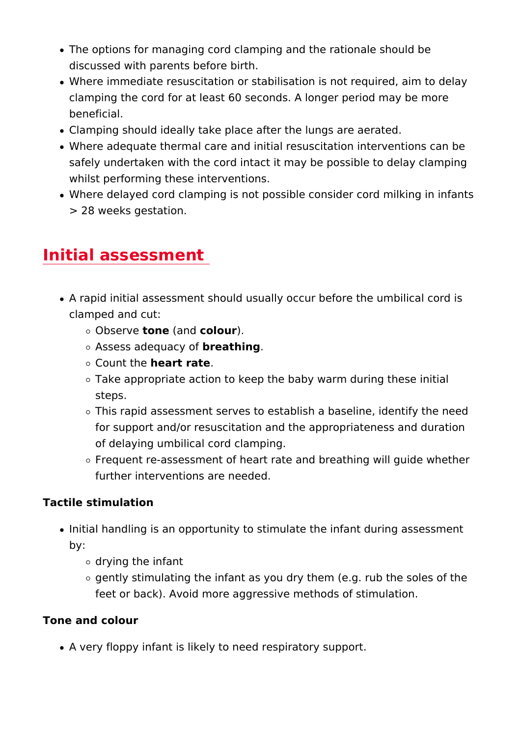- <span id="page-7-0"></span>• The options for managing cord clamping and the rationale sh discussed with parents before birth.
- . Where immediate resuscitation or stabilisation is not require clamping the cord for at least 60 seconds. A longer period n beneficial.
- Clamping should ideally take place after the lungs are aerat
- Where adequate thermal care and initial resuscitation interv safely undertaken with the cord intact it may be possible to whilst performing these interventions.
- Where delayed cord clamping is not possible consider cord i > 28 weeks gestation.

## Initial assessment

- A rapid initial assessment should usually occur before the u clamped and cut:
	- $\circ$  Observtone (and olou)r.
	- $\circ$  Assess adequatory afhing.
	- $\circ$  Count the art rate
	- $\circ$  Take appropriate action to keep the baby warm during th steps.
	- $\circ$  This rapid assessment serves to establish a baseline, id for support and/or resuscitation and the appropriateness of delaying umbilical cord clamping.
	- $\circ$  Frequent re-assessment of heart rate and breathing will further interventions are needed.

Tactile stimulation

- . Initial handling is an opportunity to stimulate the infant dur by:
	- drying the infant
	- $\circ$  gently stimulating the infant as you dry them (e.g. rub th feet or back). Avoid more aggressive methods of stimula

Tone and colour

A very floppy infant is likely to need respiratory support.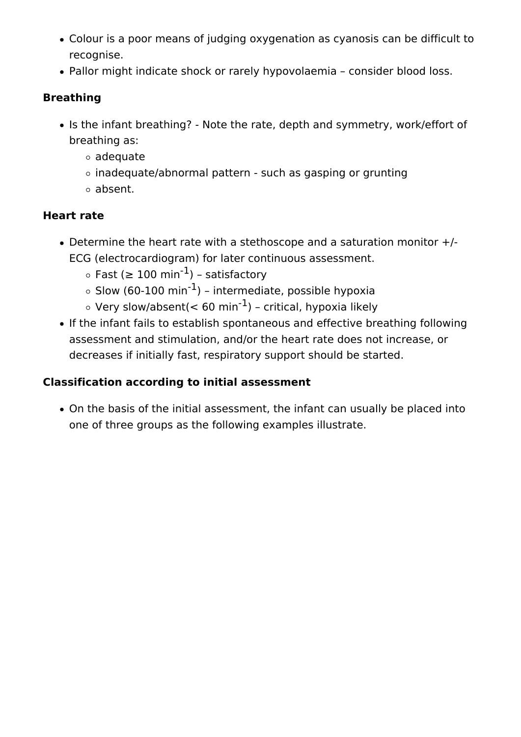- Colour is a poor means of judging oxygenation as cyanosis can be difficult to recognise.
- Pallor might indicate shock or rarely hypovolaemia consider blood loss.

## **Breathing**

- Is the infant breathing? Note the rate, depth and symmetry, work/effort of breathing as:
	- adequate
	- $\circ$  inadequate/abnormal pattern such as gasping or grunting
	- absent.

## **Heart rate**

- Determine the heart rate with a stethoscope and a saturation monitor +/- ECG (electrocardiogram) for later continuous assessment.
	- $\circ$  Fast (≥ 100 min<sup>-1</sup>) satisfactory
	- $\circ$  Slow (60-100 min<sup>-1</sup>) intermediate, possible hypoxia
	- $\circ$  Very slow/absent(< 60 min<sup>-1</sup>) critical, hypoxia likely
- If the infant fails to establish spontaneous and effective breathing following assessment and stimulation, and/or the heart rate does not increase, or decreases if initially fast, respiratory support should be started.

## **Classification according to initial assessment**

On the basis of the initial assessment, the infant can usually be placed into one of three groups as the following examples illustrate.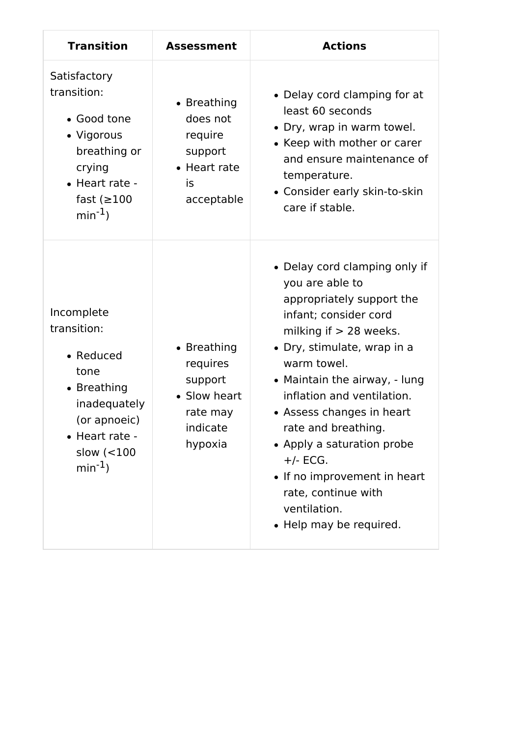| <b>Transition</b>                                                                                                                               | <b>Assessment</b>                                                                     | <b>Actions</b>                                                                                                                                                                                                                                                                                                                                                                                                                                    |
|-------------------------------------------------------------------------------------------------------------------------------------------------|---------------------------------------------------------------------------------------|---------------------------------------------------------------------------------------------------------------------------------------------------------------------------------------------------------------------------------------------------------------------------------------------------------------------------------------------------------------------------------------------------------------------------------------------------|
| Satisfactory<br>transition:<br>• Good tone<br>• Vigorous<br>breathing or<br>crying<br>• Heart rate -<br>fast $(≥100$<br>$min^{-1}$ )            | • Breathing<br>does not<br>require<br>support<br>• Heart rate<br>is<br>acceptable     | • Delay cord clamping for at<br>least 60 seconds<br>• Dry, wrap in warm towel.<br>• Keep with mother or carer<br>and ensure maintenance of<br>temperature.<br>• Consider early skin-to-skin<br>care if stable.                                                                                                                                                                                                                                    |
| Incomplete<br>transition:<br>• Reduced<br>tone<br>• Breathing<br>inadequately<br>(or apnoeic)<br>• Heart rate -<br>slow $(<100$<br>$min^{-1}$ ) | • Breathing<br>requires<br>support<br>• Slow heart<br>rate may<br>indicate<br>hypoxia | • Delay cord clamping only if<br>you are able to<br>appropriately support the<br>infant; consider cord<br>milking if $> 28$ weeks.<br>• Dry, stimulate, wrap in a<br>warm towel.<br>• Maintain the airway, - lung<br>inflation and ventilation.<br>• Assess changes in heart<br>rate and breathing.<br>• Apply a saturation probe<br>$+/-$ ECG.<br>• If no improvement in heart<br>rate, continue with<br>ventilation.<br>• Help may be required. |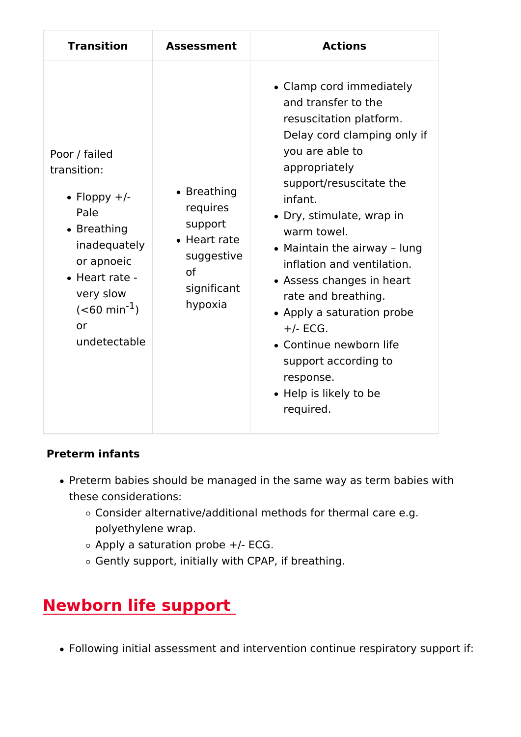| Transition                                                                                                                                                                                       | Assessmen                                                                                                             | Actions                                                                                                                                                                                                                                                                                                                                                                                                                                                                                               |
|--------------------------------------------------------------------------------------------------------------------------------------------------------------------------------------------------|-----------------------------------------------------------------------------------------------------------------------|-------------------------------------------------------------------------------------------------------------------------------------------------------------------------------------------------------------------------------------------------------------------------------------------------------------------------------------------------------------------------------------------------------------------------------------------------------------------------------------------------------|
| Poor / failed<br>transition:<br>$\bullet$ Floppy +/-<br>Pale<br>$\bullet$ Breathing<br>inadequat<br>or apnoeid<br>• Heart rate<br>very slow<br>$(<60 \text{ mi})$<br>o <sub>r</sub><br>undetecta | $\bullet$ Breathin<br>requires<br>support<br>$\bullet$ Heart ra<br>suggesti<br>o <sub>f</sub><br>significa<br>hypoxia | • Clamp cord immediately<br>and transfer to the<br>resuscitation platform.<br>Delay cord clamping only if<br>you are able to<br>appropriately<br>support/resuscitate the<br>infant.<br>• Dry, stimulate, wrap in<br>warm towel.<br>• Maintain the airway<br>lung<br>inflation and ventilation.<br>• Assess changes in heart<br>rate and breathing.<br>• Apply a saturation probe<br>$+/-$ ECG.<br>• Continue newborn life<br>support according to<br>response.<br>• Help is likely to be<br>required. |

Preterm infants

- Preterm babies should be managed in the same way as term these considerations:
	- $\circ$  Consider alternative/additional methods for thermal care polyethylene wrap.
	- $\circ$  Apply a saturation probe +/- ECG.
	- Gently support, initially with CPAP, if breathing.

# Newborn life support

• Following initial assessment and intervention continue respi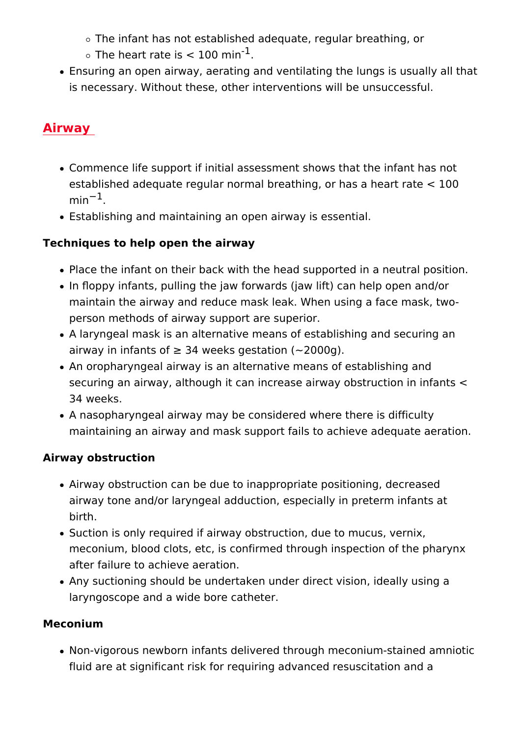$\circ$  The infant has not established adequate, regular breathi

- The heart rate is  $< 1<sup>1</sup>00$  min
- Ensuring an open airway, aerating and ventilating the lungs is necessary. Without these, other interventions will be uns

#### Airway

- Commence life support if initial assessment shows that the established adequate regular normal breathing, or has a heart  $min<sup>1</sup>$ .
- Establishing and maintaining an open airway is essential.

Techniques to help open the airway

- Place the infant on their back with the head supported in a
- In û oppy infants, pulling the jaw forwards (jaw lift) can help maintain the airway and reduce mask leak. When using a face person methods of airway support are superior.
- A laryngeal mask is an alternative means of establishing an airway in infants of "e 34 weeks gestation (~2000g).
- An oropharyngeal airway is an alternative means of establis securing an airway, although it can increase airway obstruct 34 weeks.
- $\bullet$  A nasopharyngeal airway may be considered where there is maintaining an airway and mask support fails to achieve ade

Airway obstruction

- Airway obstruction can be due to inappropriate positioning, airway tone and/or laryngeal adduction, especially in preter birth.
- Suction is only required if airway obstruction, due to mucus meconium, blood clots, etc, is confirmed through inspection after failure to achieve aeration.
- Any suctioning should be undertaken under direct vision, ide laryngoscope and a wide bore catheter.

Meconium

• Non-vigorous newborn infants delivered through meconium-s fluid are at significant risk for requiring advanced resuscitation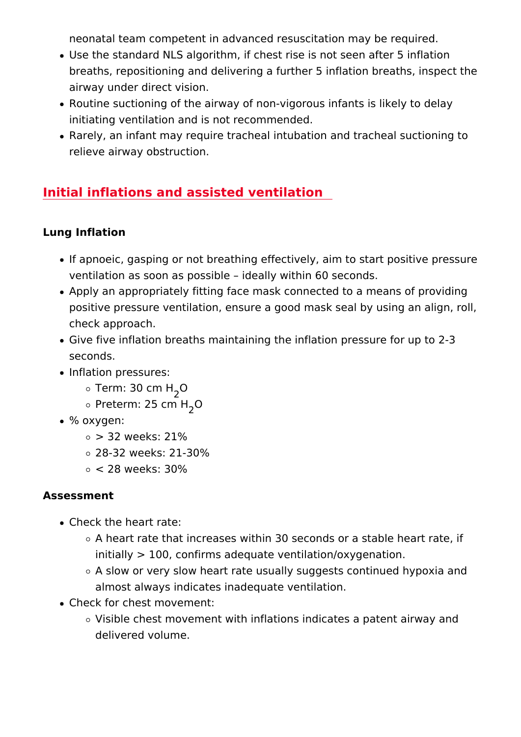neonatal team competent in advanced resuscitation may be re

- Use the standard NLS algorithm, if chest rise is not seen af breaths, repositioning and delivering a further 5 inflation br airway under direct vision.
- Routine suctioning of the airway of non-vigorous infants is I initiating ventilation and is not recommended.
- Rarely, an infant may require tracheal intubation and trache relieve airway obstruction.

#### Initial inflations and assisted ventilation

Lung Inflation

- . If apnoeic, gasping or not breathing effectively, aim to start ventilation as soon as possible ideally within 60 seconds.
- Apply an appropriately fitting face mask connected to a mea positive pressure ventilation, ensure a good mask seal by u check approach.
- Give five inflation breaths maintaining the inflation pressure seconds.
- Inflation pressures:
	- $\circ$  Term: 30  $cm$  H
	- $\circ$  Preterm: 25  $\varsigma$  on H
- % oxygen:
	- $\circ$  > 32 weeks: 21%
	- 28-32 weeks: 21-30%
	- < 28 weeks: 30%

Assessment

- Check the heart rate:
	- $\circ$  A heart rate that increases within 30 seconds or a stable initially > 100, confirms adequate ventilation/oxygenatio
	- $\circ$  A slow or very slow heart rate usually suggests continue almost always indicates inadequate ventilation.
- Check for chest movement:
	- $\circ$  Visible chest movement with inflations indicates a paten delivered volume.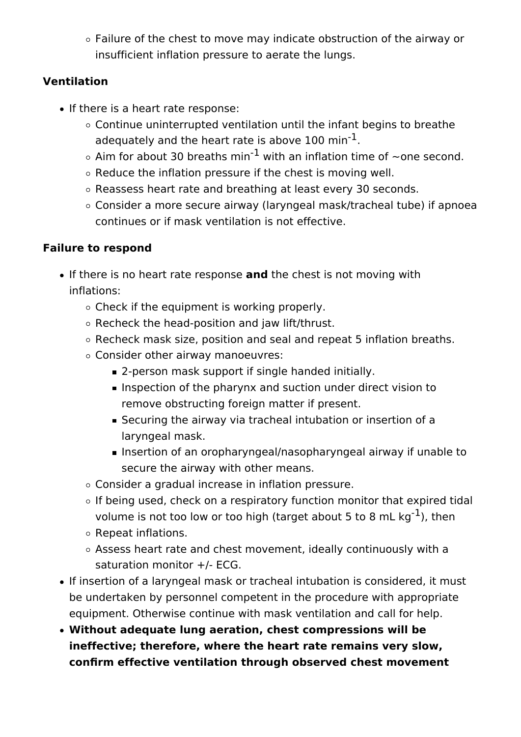$\circ$  Failure of the chest to move may indicate obstruction of the airway or insufficient inflation pressure to aerate the lungs.

## **Ventilation**

- If there is a heart rate response:
	- $\circ$  Continue uninterrupted ventilation until the infant begins to breathe adequately and the heart rate is above 100  $min<sup>-1</sup>$ .
	- $\circ$  Aim for about 30 breaths min<sup>-1</sup> with an inflation time of ~one second.
	- $\circ$  Reduce the inflation pressure if the chest is moving well.
	- Reassess heart rate and breathing at least every 30 seconds.
	- Consider a more secure airway (laryngeal mask/tracheal tube) if apnoea continues or if mask ventilation is not effective.

## **Failure to respond**

- **If there is no heart rate response and the chest is not moving with** inflations:
	- $\circ$  Check if the equipment is working properly.
	- $\circ$  Recheck the head-position and jaw lift/thrust.
	- $\circ$  Recheck mask size, position and seal and repeat 5 inflation breaths.
	- Consider other airway manoeuvres:
		- **2-person mask support if single handed initially.**
		- **Inspection of the pharynx and suction under direct vision to** remove obstructing foreign matter if present.
		- Securing the airway via tracheal intubation or insertion of a laryngeal mask.
		- Insertion of an oropharyngeal/nasopharyngeal airway if unable to secure the airway with other means.
	- Consider a gradual increase in inflation pressure.
	- $\circ$  If being used, check on a respiratory function monitor that expired tidal volume is not too low or too high (target about 5 to 8 mL  $kg^{-1}$ ), then
	- $\circ$  Repeat inflations.
	- Assess heart rate and chest movement, ideally continuously with a saturation monitor +/- ECG.
- If insertion of a laryngeal mask or tracheal intubation is considered, it must be undertaken by personnel competent in the procedure with appropriate equipment. Otherwise continue with mask ventilation and call for help.
- **Without adequate lung aeration, chest compressions will be ineffective; therefore, where the heart rate remains very slow, confirm effective ventilation through observed chest movement**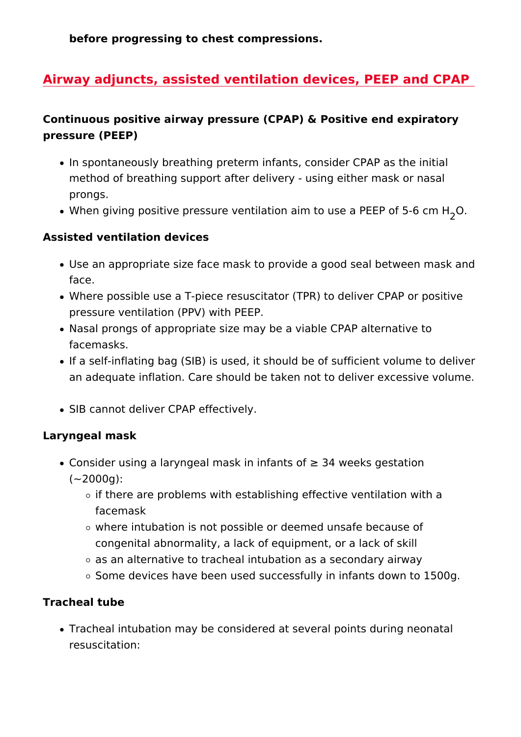before progressing to chest compressions.

Airway adjuncts, assisted ventilation devices, PEEP and

Continuous positive airway pressure (CPAP) & Positive end exp pressure (PEEP)

- . In spontaneously breathing preterm infants, consider CPAP method of breathing support after delivery - using either ma prongs.
- . When giving positive pressure ventilation aim to us, @ a PEEF

Assisted ventilation devices

- Use an appropriate size face mask to provide a good seal be face.
- Where possible use a T-piece resuscitator (TPR) to deliver pressure ventilation (PPV) with PEEP.
- Nasal prongs of appropriate size may be a viable CPAP alte facemasks.
- If a self-inflating bag (SIB) is used, it should be of sufficient an adequate inflation. Care should be taken not to deliver e
- SIB cannot deliver CPAP effectively.

Laryngeal mask

- Consider using a laryngeal mask in infants of "e 34 weeks ge  $(-2000q)$ :
	- $\circ$  if there are problems with establishing effective ventilat facemask
	- $\circ$  where intubation is not possible or deemed unsafe becau congenital abnormality, a lack of equipment, or a lack of
	- $\circ$  as an alternative to tracheal intubation as a secondary a
	- o Some devices have been used successfully in infants dow

Tracheal tube

• Tracheal intubation may be considered at several points dur resuscitation: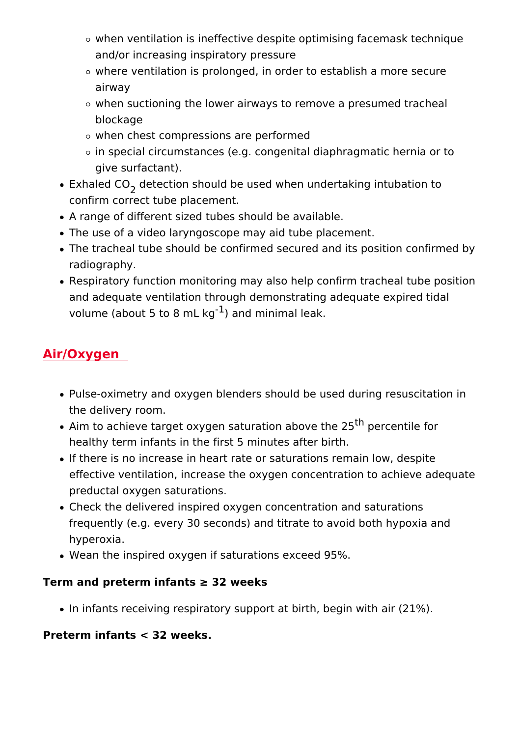- $\circ$  when ventilation is ineffective despite optimising facema and/or increasing inspiratory pressure
- $\circ$  where ventilation is prolonged, in order to establish a m airway
- $\circ$  when suctioning the lower airways to remove a presumed blockage
- when chest compressions are performed
- $\circ$  in special circumstances (e.g. congenital diaphragmatic give surfactant).
- Exhaled CoDetection should be used when undertaking intubation confirm correct tube placement.
- A range of different sized tubes should be available.
- The use of a video laryngoscope may aid tube placement.
- The tracheal tube should be confirmed secured and its posit radiography.
- Respiratory function monitoring may also help confirm trach and adequate ventilation through demonstrating adequate ex volume (about 5 to  $8^1$ ) maln of gminimal leak.

#### Air/Oxygen

- Pulse-oximetry and oxygen blenders should be used during r the delivery room.
- Aim to achieve target oxygen saturatio<sup>th</sup> pedocreenttihe for healthy term infants in the first 5 minutes after birth.
- If there is no increase in heart rate or saturations remain Idential effective ventilation, increase the oxygen concentration to a preductal oxygen saturations.
- . Check the delivered inspired oxygen concentration and satu frequently (e.g. every 30 seconds) and titrate to avoid both hyperoxia.
- Wean the inspired oxygen if saturations exceed 95%.

Term and preterm infants "e 32 weeks

. In infants receiving respiratory support at birth, begin with

Preterm infants < 32 weeks.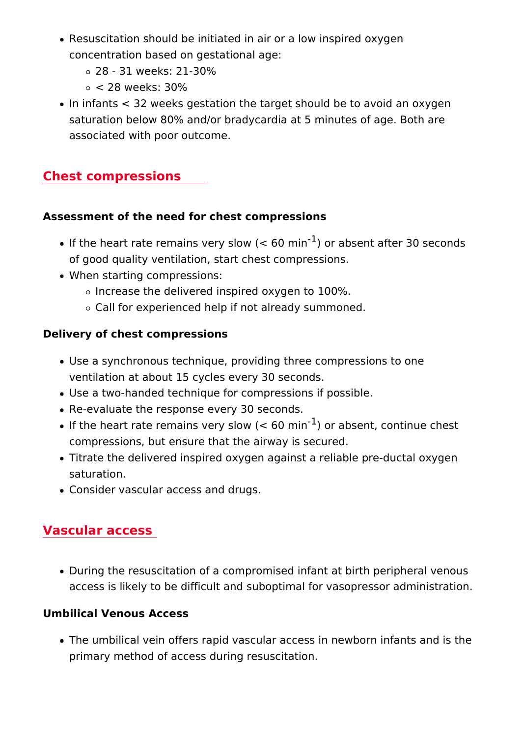- . Resuscitation should be initiated in air or a low inspired ox concentration based on gestational age:
	- 28 31 weeks: 21-30%
	- < 28 weeks: 30%
- $\bullet$  In infants < 32 weeks gestation the target should be to avoi saturation below 80% and/or bradycardia at 5 minutes of age associated with poor outcome.

#### Chest compressions

Assessment of the need for chest compressions

- $\bullet$  If the heart rate remains very slow  $o(r < a$  to semmithafter 30 second of good quality ventilation, start chest compressions.
- When starting compressions:
	- $\circ$  Increase the delivered inspired oxygen to 100%.
	- Call for experienced help if not already summoned.

Delivery of chest compressions

- Use a synchronous technique, providing three compressions ventilation at about 15 cycles every 30 seconds.
- Use a two-handed technique for compressions if possible.
- Re-evaluate the response every 30 seconds.
- $\bullet$  If the heart rate remains very sld wo  $(r < a \oplus \oplus \text{cm} \times n)$  continue chest compressions, but ensure that the airway is secured.
- Titrate the delivered inspired oxygen against a reliable presaturation.
- Consider vascular access and drugs.

#### Vascular access

. During the resuscitation of a compromised infant at birth pe access is likely to be difficult and suboptimal for vasopress

Umbilical Venous Access

• The umbilical vein offers rapid vascular access in newborn i primary method of access during resuscitation.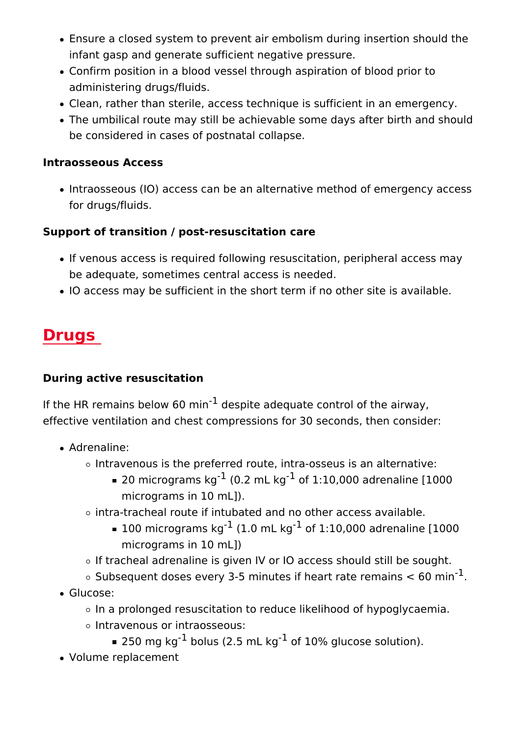- Ensure a closed system to prevent air embolism during inser infant gasp and generate sufficient negative pressure.
- Confirm position in a blood vessel through aspiration of blo administering drugs/fluids.
- Clean, rather than sterile, access technique is sufficient in
- The umbilical route may still be achievable some days after be considered in cases of postnatal collapse.

Intraosseous Access

• Intraosseous (IO) access can be an alternative method of er for drugs/fluids.

Support of transition / post-resuscitation care

- . If venous access is required following resuscitation, periphe be adequate, sometimes central access is needed.
- IO access may be sufficient in the short term if no other sit

# Drugs

During active resuscitation

If the HR remains below  $\cos$  point adequate control of the airway, effective ventilation and chest compressions for 30 seconds, th

- Adrenaline:
	- $\circ$  Intravenous is the preferred route, intra-osseus is an alternative:
		- $\bullet$  20 micrograms (kQg.2 mL kgf 1:10,000 adrenaline [1000 micrograms in 10 mL]).
	- $\circ$  intra-tracheal route if intubated and no other access available.
		- $\blacksquare$  100 microgram  $\frac{1}{3}$  (kg 0 m L<sup>-</sup> kg f 1:10,000 adrenaline [1000 micrograms in 10 mL])
	- o If tracheal adrenaline is given IV or IO access should st
	- Subsequent doses every 3-5 minutes if heart rate<sup>1</sup> remain
- Glucose:
	- o In a prolonged resuscitation to reduce likelihood of hypo Intravenous or intraosseous:
		- $\approx$  250 mg  $k^1$ gbolus (2.5 m $^1$  of g10% glucose solution).
- Volume replacement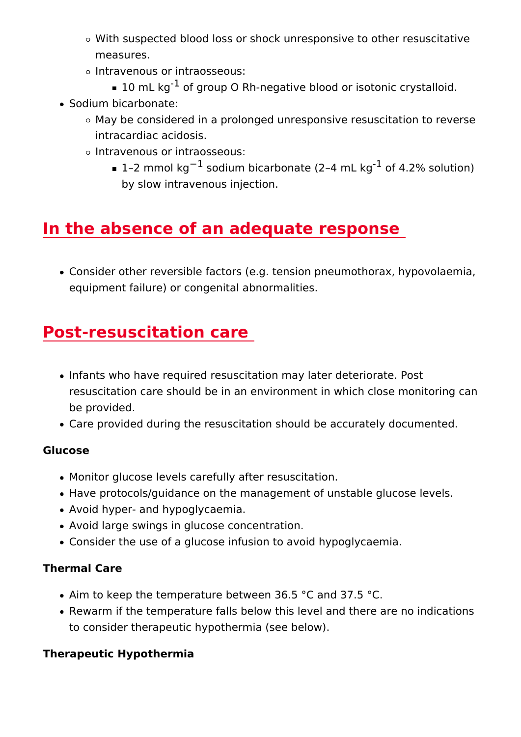- o With suspected blood loss or shock unresponsive to othe measures.
- Intravenous or intraosseous:
- $\blacksquare$  10 mL  $k^1$ gof group O Rh–negative blood or isotonic cry
- Sodium bicarbonate:
	- $\circ$  May be considered in a prolonged unresponsive resuscitation intracardiac acidosis.
	- o Intravenous or intraosseous:
		- $\blacksquare$  1 2 mmol  $\frac{1}{2}$  asodium bicarbonate (2<sup>-1</sup>4 of 14.12c% solution) by slow intravenous injection.

## In the absence of an adequate response

• Consider other reversible factors (e.g. tension pneumothora equipment failure) or congenital abnormalities.

## Post-resuscitation care

- . Infants who have required resuscitation may later deteriorat resuscitation care should be in an environment in which clos be provided.
- Care provided during the resuscitation should be accurately

Glucose

- Monitor glucose levels carefully after resuscitation.
- Have protocols/guidance on the management of unstable glu
- Avoid hyper- and hypoglycaemia.
- Avoid large swings in glucose concentration.
- Consider the use of a glucose infusion to avoid hypoglycaen

Thermal Care

- Aim to keep the temperature between 36.5 °C and 37.5 °C.
- Rewarm if the temperature falls below this level and there a to consider therapeutic hypothermia (see below).

Therapeutic Hypothermia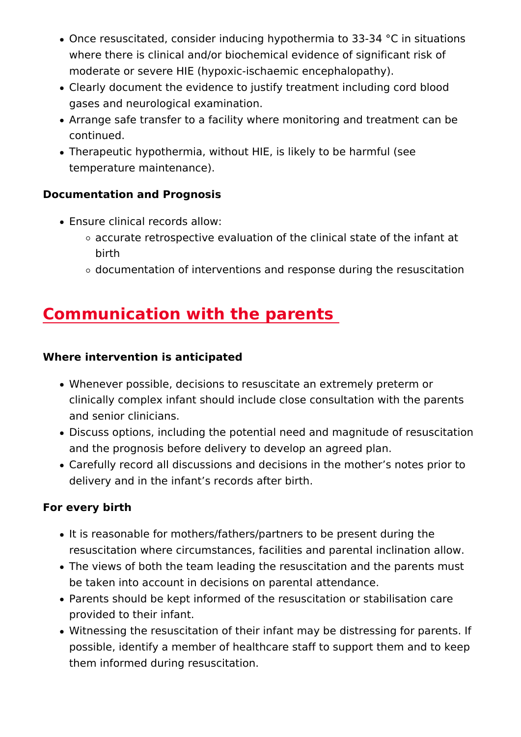- $\bullet$  Once resuscitated, consider inducing hypothermia to 33-34 ' where there is clinical and/or biochemical evidence of signimoderate or severe HIE (hypoxic-ischaemic encephalopathy).
- Clearly document the evidence to justify treatment including gases and neurological examination.
- Arrange safe transfer to a facility where monitoring and trea continued.
- . Therapeutic hypothermia, without HIE, is likely to be harmfu temperature maintenance).

Documentation and Prognosis

- Ensure clinical records allow:
	- $\circ$  accurate retrospective evaluation of the clinical state of birth
	- $\circ$  documentation of interventions and response during the

# Communication with the parents

Where intervention is anticipated

- . Whenever possible, decisions to resuscitate an extremely pr clinically complex infant should include close consultation v and senior clinicians.
- Discuss options, including the potential need and magnitude and the prognosis before delivery to develop an agreed plan.
- Carefully record all discussions and decisions in the mother delivery and in the infant s records after birth.

For every birth

- It is reasonable for mothers/fathers/partners to be present d resuscitation where circumstances, facilities and parental in
- $\bullet$  The views of both the team leading the resuscitation and the be taken into account in decisions on parental attendance.
- Parents should be kept informed of the resuscitation or stab provided to their infant.
- Witnessing the resuscitation of their infant may be distressi possible, identify a member of healthcare staff to support the them informed during resuscitation.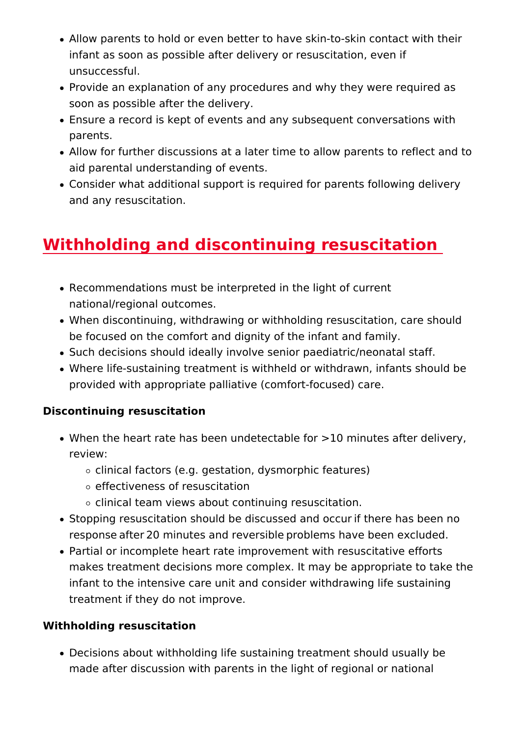- Allow parents to hold or even better to have skin-to-skin co infant as soon as possible after delivery or resuscitation, e unsuccessful.
- Provide an explanation of any procedures and why they were soon as possible after the delivery.
- Ensure a record is kept of events and any subsequent conve parents.
- Allow for further discussions at a later time to allow parents aid parental understanding of events.
- Consider what additional support is required for parents foll and any resuscitation.

# Withholding and discontinuing resuscitation

- Recommendations must be interpreted in the light of current national/regional outcomes.
- . When discontinuing, withdrawing or withholding resuscitation, be focused on the comfort and dignity of the infant and fami
- Such decisions should ideally involve senior paediatric/neor
- Where life-sustaining treatment is withheld or withdrawn, in provided with appropriate palliative (comfort-focused) care.

Discontinuing resuscitation

- $\bullet$  When the heart rate has been undetectable for >10 minutes review:
	- clinical factors (e.g. gestation, dysmorphic features)
	- effectiveness of resuscitation
	- clinical team views about continuing resuscitation.
- Stopping resuscitation should be discussed and occur/if the response/after/20 minutes and reversible/problems have bee
- Partial or incomplete heart rate improvement with resuscitat makes treatment decisions more complex. It may be appropr infant to the intensive care unit and consider withdrawing li treatment if they do not improve.

Withholding resuscitation

• Decisions about withholding life sustaining treatment should made after discussion with parents in the light of regional o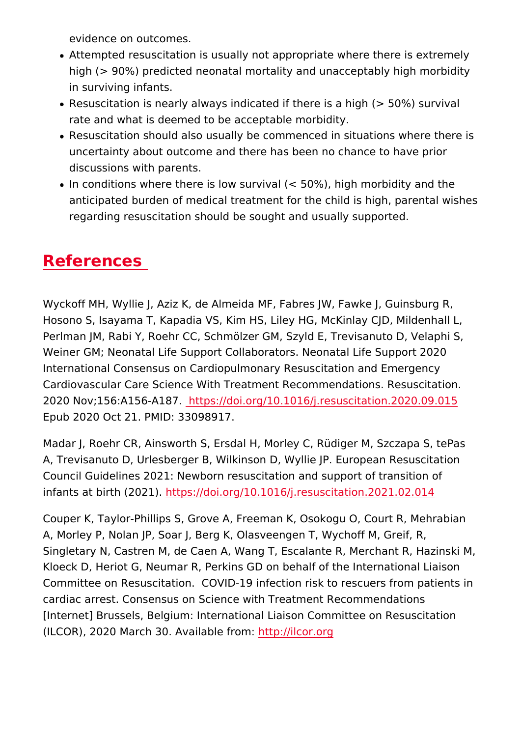evidence on outcomes.

- Attempted resuscitation is usually not appropriate where the high (> 90%) predicted neonatal mortality and unacceptably in surviving infants.
- Resuscitation is nearly always indicated if there is a high (: rate and what is deemed to be acceptable morbidity.
- Resuscitation should also usually be commenced in situation uncertainty about outcome and there has been no chance to discussions with parents.
- $\bullet$  In conditions where there is low survival (< 50%), high morb anticipated burden of medical treatment for the child is high regarding resuscitation should be sought and usually support

## References

Wyckoff MH, Wyllie J, Aziz K, de Almeida MF, Fabres JW, Fawke Hosono S, Isayama T, Kapadia VS, Kim HS, Liley HG, McKinlay Perlman JM, Rabi Y, Roehr CC, Schmölzer GM, Szyld E, Trevisa Weiner GM; Neonatal Life Support Collaborators. Neonatal Life International Consensus on Cardiopulmonary Resuscitation and Cardiovascular Care Science With Treatment Recommendations. 2020 Nov;156:A156-Attt&B://doi.org/10.1016/j.resuscitation.2020 Epub 2020 Oct 21. PMID: 33098917.

Madar J, Roehr CR, Ainsworth S, Ersdal H, Morley C, Rüdiger M A, Trevisanuto D, Urlesberger B, Wilkinson D, Wyllie JP. Europ Council Guidelines 2021: Newborn resuscitation and support of infants at birth  $(202*)$ //doi.org/10.1016/j.resuscitation.2021.02.

Couper K, Taylor-Phillips S, Grove A, Freeman K, Osokogu O, C A, Morley P, Nolan JP, Soar J, Berg K, Olasveengen T, Wychoff Singletary N, Castren M, de Caen A, Wang T, Escalante R, Mero Kloeck D, Heriot G, Neumar R, Perkins GD on behalf of the Inte Committee on Resuscitation. COVID-19 infection risk to rescue cardiac arrest. Consensus on Science with Treatment Recommen [Internet] Brussels, Belgium: International Liaison Committee o  $(ILCOR)$ , 2020 March 30. Avahita pik/ificom.org